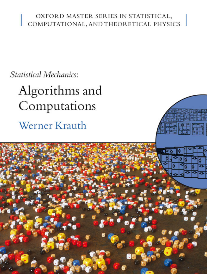## OXFORD MASTER SERIES IN STATISTICAL, COMPUTATIONAL, AND THEORETICAL PHYSICS

**Statistical Mechanics:** 

Algorithms and Computations Werner Krauth

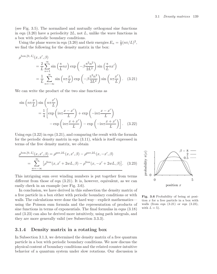(see Fig. 3.5). The normalized and mutually orthogonal sine functions in eqn  $(3.20)$  have a periodicity  $2L$ , not L, unlike the wave functions in a box with periodic boundary conditions.

Using the plane waves in eqn (3.20) and their energies  $E_n = \frac{1}{2} (n\pi/L)^2$ , we find the following for the density matrix in the box:

$$
\rho^{\text{box},[0,L]}(x, x', \beta)
$$
\n
$$
= \frac{2}{L} \sum_{n=1}^{\infty} \sin\left(\frac{\pi}{L}nx\right) \exp\left(-\beta \frac{\pi^2 n^2}{2L^2}\right) \sin\left(\frac{\pi}{L}nx'\right)
$$
\n
$$
= \frac{1}{L} \sum_{n=-\infty}^{\infty} \sin\left(n\pi \frac{x}{L}\right) \exp\left(-\beta \frac{\pi^2 n^2}{2L^2}\right) \sin\left(n\pi \frac{x'}{L}\right). \quad (3.21)
$$

We can write the product of the two sine functions as

$$
\sin\left(n\pi\frac{x}{L}\right)\sin\left(n\pi\frac{x'}{L}\right) = \frac{1}{4}\left[\exp\left(in\pi\frac{x-x'}{L}\right) + \exp\left(-in\pi\frac{x-x'}{L}\right) - \exp\left(in\pi\frac{x+x'}{L}\right) - \exp\left(-in\pi\frac{x+x'}{L}\right)\right].
$$
 (3.22)

Using eqn  $(3.22)$  in eqn  $(3.21)$ , and comparing the result with the formula for the periodic density matrix in eqn (3.11), which is itself expressed in terms of the free density matrix, we obtain

$$
\rho^{\text{box,[0,L]}}(x, x', \beta) = \rho^{\text{per,2L}}(x, x', \beta) - \rho^{\text{per,2L}}(x, -x', \beta)
$$
  
= 
$$
\sum_{w=-\infty}^{\infty} [\rho^{\text{free}}(x, x' + 2wL, \beta) - \rho^{\text{free}}(x, -x' + 2wL, \beta)].
$$
 (3.23)

This intriguing sum over winding numbers is put together from terms different from those of eqn  $(3.21)$ . It is, however, equivalent, as we can easily check in an example (see Fig. 3.6).

In conclusion, we have derived in this subsection the density matrix of a free particle in a box either with periodic boundary conditions or with walls. The calculations were done the hard way—explicit mathematics using the Poisson sum formula and the representation of products of sine functions in terms of exponentials. The final formulas in eqns (3.18) and (3.23) can also be derived more intuitively, using path integrals, and they are more generally valid (see Subsection 3.3.3).

## **3.1.4 Density matrix in a rotating box**

In Subsection 3.1.3, we determined the density matrix of a free quantum particle in a box with periodic boundary conditions. We now discuss the physical content of boundary conditions and the related counter-intuitive behavior of a quantum system under slow rotations. Our discussion is



**Fig. 3.6** Probability of being at position x for a free particle in a box with walls (from eqn  $(3.21)$  or eqn  $(3.23)$ , with  $L = 5$ ).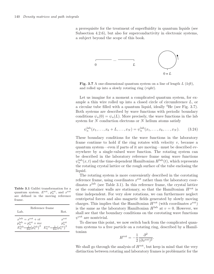a prerequisite for the treatment of superfluidity in quantum liquids (see Subsection 4.2.6), but also for superconductivity in electronic systems, a subject beyond the scope of this book.



**Fig. 3.7** A one-dimensional quantum system on a line of length  $L$  (left), and rolled up into a slowly rotating ring (right).

Let us imagine for a moment a complicated quantum system, for example a thin wire rolled up into a closed circle of circumference L, or a circular tube filled with a quantum liquid, ideally <sup>4</sup>He (see Fig. 3.7). Both systems are described by wave functions with periodic boundary conditions  $\psi_n(0) = \psi_n(L)$ . More precisely, the wave functions in the lab system for N conduction electrons or N helium atoms satisfy

$$
\psi_n^{\text{lab}}(x_1, ..., x_k + L, ..., x_N) = \psi_n^{\text{lab}}(x_1, ..., x_k, ..., x_N). \tag{3.24}
$$

These boundary conditions for the wave functions in the laboratory frame continue to hold if the ring rotates with velocity  $v$ , because a quantum system—even if parts of it are moving—must be described everywhere by a single-valued wave function. The rotating system can be described in the laboratory reference frame using wave functions  $\psi_n^{\text{lab}}(x,t)$  and the time-dependent Hamiltonian  $H^{\text{lab}}(t)$ , which represents the rotating crystal lattice or the rough surface of the tube enclosing the liquid.

The rotating system is more conveniently described in the corotating reference frame, using coordinates  $x^{\text{rot}}$  rather than the laboratory coordinates  $x^{\text{lab}}$  (see Table 3.1). In this reference frame, the crystal lattice or the container walls are stationary, so that the Hamiltonian  $H^{\text{rot}}$  is time independent. For very slow rotations, we can furthermore neglect centripetal forces and also magnetic fields generated by slowly moving charges. This implies that the Hamiltonian  $H^{\text{rot}}$  (with coordinates  $x^{\text{rot}}$ ) is the same as the laboratory Hamiltonian  $H^{\text{lab}}$  at  $v = 0$ . However, we shall see that the boundary conditions on the corotating wave functions  $\psi^{\text{rot}}$  are nontrivial.

To discuss this point, we now switch back from the complicated quantum systems to a free particle on a rotating ring, described by a Hamiltonian

$$
H^{\rm rot} = -\frac{1}{2} \frac{\partial^2}{(\partial x^{\rm rot})^2}.
$$

We shall go through the analysis of  $H<sup>rot</sup>$ , but keep in mind that the very distinction between rotating and laboratory frames is problematic for the

**Table 3.1** Galilei transformation for a quantum system.  $E^{\rm rot}$ ,  $p_n^{\rm rot}$ , and  $x^{\rm rot}$ are defined in the moving reference frame.

| Reference frame<br>Lab.                          | Rot.                                             |
|--------------------------------------------------|--------------------------------------------------|
| $x^{\text{lab}} = x^{\text{rot}} + vt$           | $x^{\rm rot}$                                    |
| $p_n^{\text{lab}} = p_n^{\text{rot}} + mv$       | $p_n^{\rm rot}$                                  |
| $E_n^{\rm lab} = \frac{1}{2m} (p_n^{\rm lab})^2$ | $E_n^{\rm rot} = \frac{1}{2m} (p_n^{\rm rot})^2$ |